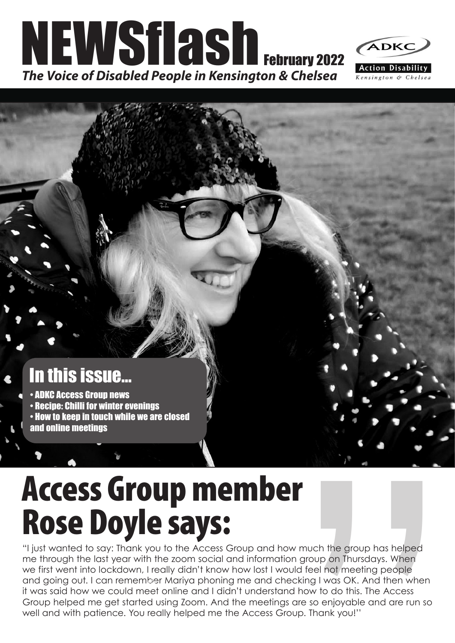



# In this issue...

- ADKC Access Group news
- Recipe: Chilli for winter evenings
- How to keep in touch while we are closed
- and online meetings

# Access Group member Rose Doyle says:

**All the State of State Controller State Only the State Orion State Orion State Orion State Controller State Controller State Checking I was OK. And then when and how to do this. The Access are so enjoyable and are run so** "I just wanted to say: Thank you to the Access Group and how much the group has helped me through the last year with the zoom social and information group on Thursdays. When we first went into lockdown, I really didn't know how lost I would feel not meeting people and going out. I can remember Mariya phoning me and checking I was OK. And then when<br>it was said bouwse could meet enline and I didn't understand bouy to do this The Access. it was said how we could meet online and I didn't understand how to do this. The Access Group helped me get started using Zoom. And the meetings are so enjoyable and are run so well and with patience. You really helped me the Access Group. Thank you!''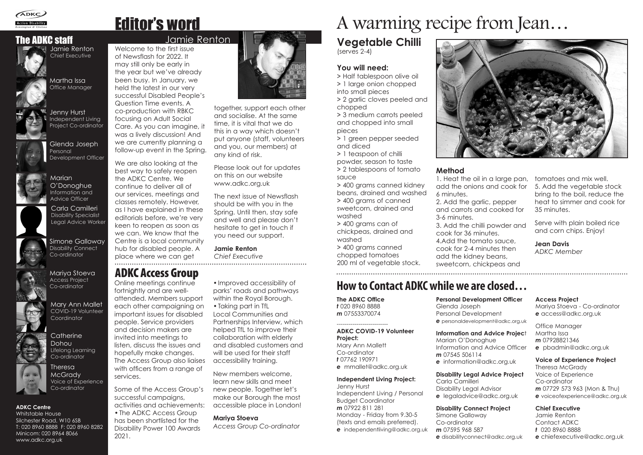Welcome to the first issue of Newsflash for 2022. It may still only be early in the year but we've already been busy. In January, we held the latest in our very successful Disabled People's Question Time events. A co-production with RBKC focusing on Adult Social Care. As you can imagine, it was a lively discussion! And we are currently planning a follow-up event in the Spring.

We are also looking at the best way to safely reopen the ADKC Centre. We continue to deliver all of our services, meetings and classes remotely. However, as I have explained in these editorials before, we're very keen to reopen as soon as we can. We know that the Centre is a local community hub for disabled people. A place where we can get

together, support each other and socialise. At the same time, it is vital that we do this in a way which doesn't put anyone (staff, volunteers and you, our members) at any kind of risk.

Please look out for updates on this on our website www.adkc.org.uk

The next issue of Newsflash should be with you in the Spring. Until then, stay safe and well and please don't hesitate to get in touch if you need our support.

**Jamie Renton**

*Chief Executive* 

# Editor's word

# The ADKC staff **Intervallent Contract Contract Contract Contract Contract Contract Contract Contract Contract Contract Contract Contract Contract Contract Contract Contract Contract Contract Contract Contract Contract Cont**

# A warming recipe from Jean…

# ADKC Access Group

# **How to Contact ADKC while we are closed…**

# **Vegetable Chilli** (serves 2-4)

# **You will need:**

**>** Half tablespoon olive oil **>** 1 large onion chopped into small pieces **>** 2 garlic cloves peeled and chopped

**>** 3 medium carrots peeled and chopped into small pieces

**>** 1 green pepper seeded and diced

**>** 1 teaspoon of chilli powder, season to taste **>** 2 tablespoons of tomato sauce

**>** 400 grams canned kidney beans, drained and washed **>** 400 grams of canned sweetcorn, drained and washed

**>** 400 grams can of chickpeas, drained and washed

**>** 400 grams canned chopped tomatoes 200 ml of vegetable stock.

**Catherine** Dohou Lifelong Learning Co-ordinator

## **Method**

1. Heat the oil in a large pan, add the onions and cook for 6 minutes.

2. Add the garlic, pepper

Glenda Joseph Personal Development Officer



and carrots and cooked for 3-6 minutes. 3. Add the chilli powder and cook for 36 minutes. 4.Add the tomato sauce, cook for 2-4 minutes then add the kidney beans, sweetcorn, chickpeas and

tomatoes and mix well. 5. Add the vegetable stock bring to the boil, reduce the heat to simmer and cook for 35 minutes.

Serve with plain boiled rice and corn chips. Enjoy!

**Jean Davis** *ADKC Member*

**The ADKC Office**  *t* 020 8960 8888 *m* 07553370074

--------------------------

# **ADKC COVID-19 Volunteer**

**Project:** Mary Ann Mallett Co-ordinator *t* 07762 190971 *e* mmallet@adkc.org.uk

### **Independent Living Project:**

Jenny Hurst Independent Living / Personal Budget Coordinator *m* 07922 811 281 Monday - Friday from 9.30-5 (texts and emails preferred). *e* independentliving@adkc.org.uk



**Personal Development Officer** Glenda Joseph Personal Development *e* personaldevelopment@adkc.org.uk

**Information and Advice Projec**t Marian O'Donoghue Information and Advice Officer *m* 07545 506114 *e* information@adkc.org.uk

## **Disability Legal Advice Project**

Carla Camilleri Disability Legal Advisor *e* legaladvice@adkc.org.uk

**Disability Connect Project** Simone Galloway Co-ordinator *m* 07595 968 587 *e* disabilityconnect@adkc.org.uk

## **Access Project** Mariya Stoeva - Co-ordinator *e* access@adkc.org.uk

Office Manager Martha Issa *m* 07928821346 *e* pbadmin@adkc.org.uk

**Voice of Experience Project** Theresa McGrady Voice of Experience Co-ordinator *m* 07729 573 963 (Mon & Thu) *e* voiceofexperience@adkc.org.uk

**Chief Executive** Jamie Renton Contact ADKC *t* 020 8960 8888 *e* chiefexecutive@adkc.org.uk



Jamie Renton Chief Executive

> O'Donoghue Information and Advice Officer

**Marian** 

Mary Ann Mallet COVID-19 Volunteer



Coordinator

Theresa **McGrady** Voice of Experience Co-ordinator

Simone Galloway Disability Connect Co-ordinator



### **ADKC Centre**

Whitstable House Silchester Road, W10 6SB T: 020 8960 8888 F: 020 8960 8282 Minicom: 020 8964 8066 www.adkc.org.uk

Jenny Hurst Independent Living Project Co-ordinator



Mariya Stoeva Access Project Co-ordinator



Martha Issa Office Manager



Online meetings continue fortnightly and are wellattended. Members support each other campaigning on important issues for disabled people. Service providers and decision makers are invited into meetings to listen, discuss the issues and hopefully make changes. The Access Group also liaises with officers from a range of services.

Some of the Access Group's successful campaigns, activities and achievements: •The ADKC Access Group has been shortlisted for the Disability Power 100 Awards 2021.

•Improved accessibility of parks' roads and pathways within the Royal Borough. •Taking part in TfL Local Communities and Partnerships Interview, which helped TfL to improve their collaboration with elderly and disabled customers and

will be used for their staff

accessibility training.

New members welcome, learn new skills and meet new people. Together let's make our Borough the most accessible place in London!

## **Mariya Stoeva**

*Access Group Co-ordinator*